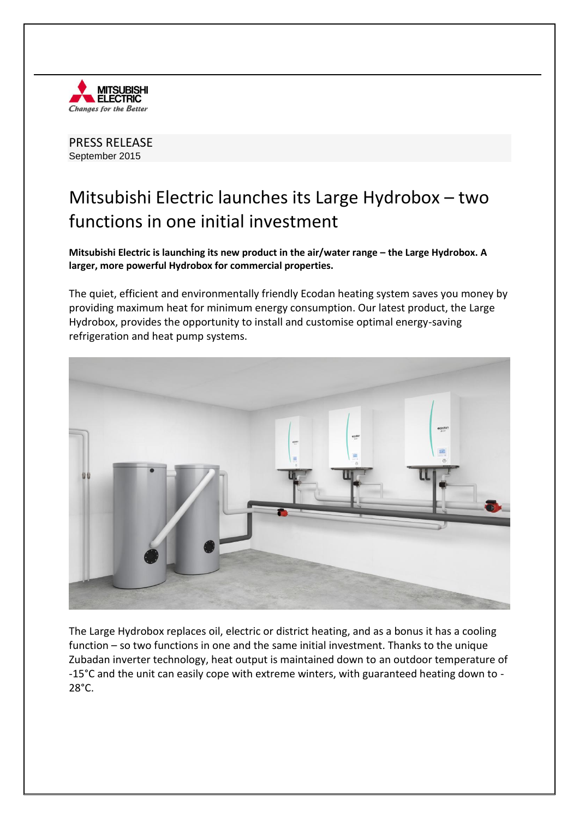

PRESS RELEASE September 2015

## Mitsubishi Electric launches its Large Hydrobox – two functions in one initial investment

**Mitsubishi Electric is launching its new product in the air/water range – the Large Hydrobox. A larger, more powerful Hydrobox for commercial properties.** 

The quiet, efficient and environmentally friendly Ecodan heating system saves you money by providing maximum heat for minimum energy consumption. Our latest product, the Large Hydrobox, provides the opportunity to install and customise optimal energy-saving refrigeration and heat pump systems.



The Large Hydrobox replaces oil, electric or district heating, and as a bonus it has a cooling function – so two functions in one and the same initial investment. Thanks to the unique Zubadan inverter technology, heat output is maintained down to an outdoor temperature of -15°C and the unit can easily cope with extreme winters, with guaranteed heating down to -  $28^\circ$ C.